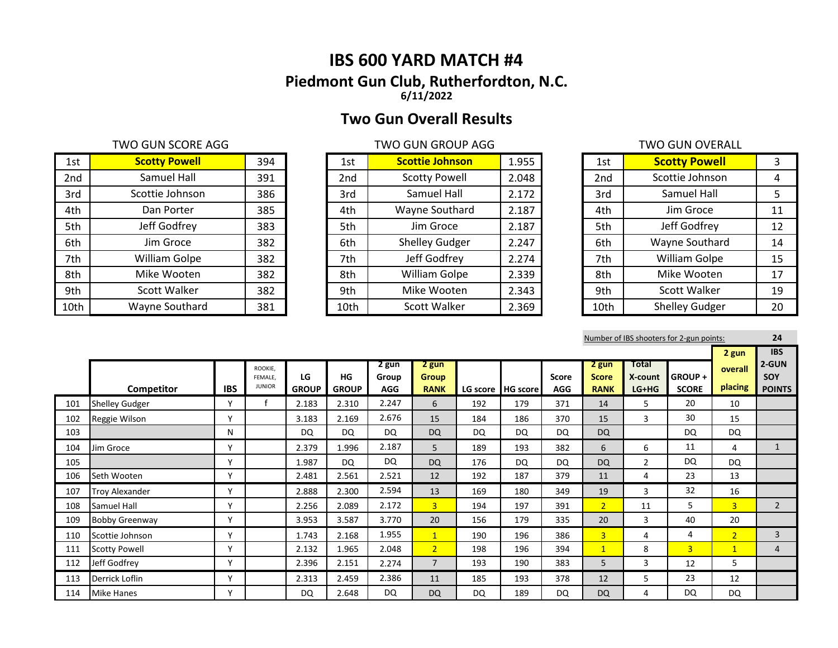# **IBS 600 YARD MATCH #4 Piedmont Gun Club, Rutherfordton, N.C. 6/11/2022**

# **Two Gun Overall Results**

## TWO GUN SCORE AGG TWO GUN GROUP AGG TWO GUN GROUP AGG

| 1st  | <b>Scotty Powell</b> | 394 | 1st  | <b>Scottie Johnson</b> | 1.955 | 1st             | <b>Scotty Powell</b>  |    |
|------|----------------------|-----|------|------------------------|-------|-----------------|-----------------------|----|
| 2nd  | Samuel Hall          | 391 | 2nd  | <b>Scotty Powell</b>   | 2.048 | 2 <sub>nd</sub> | Scottie Johnson       | 4  |
| 3rd  | Scottie Johnson      | 386 | 3rd  | Samuel Hall            | 2.172 | 3rd             | Samuel Hall           | 5. |
| 4th  | Dan Porter           | 385 | 4th  | Wayne Southard         | 2.187 | 4th             | Jim Groce             | 11 |
| 5th  | Jeff Godfrey         | 383 | 5th  | Jim Groce              | 2.187 | 5th             | Jeff Godfrey          | 12 |
| 6th  | Jim Groce            | 382 | 6th  | <b>Shelley Gudger</b>  | 2.247 | 6th             | Wayne Southard        | 14 |
| 7th  | <b>William Golpe</b> | 382 | 7th  | Jeff Godfrey           | 2.274 | 7th             | William Golpe         | 15 |
| 8th  | Mike Wooten          | 382 | 8th  | <b>William Golpe</b>   | 2.339 | 8th             | Mike Wooten           | 17 |
| 9th  | Scott Walker         | 382 | 9th  | Mike Wooten            | 2.343 | 9th             | Scott Walker          | 19 |
| 10th | Wayne Southard       | 381 | 10th | Scott Walker           | 2.369 | 10th            | <b>Shelley Gudger</b> | 20 |

| 1st             | <b>Scottie Johnson</b> | 1.955 |
|-----------------|------------------------|-------|
| 2 <sub>nd</sub> | <b>Scotty Powell</b>   | 2.048 |
| 3rd             | Samuel Hall            | 2.172 |
| 4th             | Wayne Southard         | 2.187 |
| 5th             | Jim Groce              | 2.187 |
| 6th             | <b>Shelley Gudger</b>  | 2.247 |
| 7th             | Jeff Godfrey           | 2.274 |
| 8th             | William Golpe          | 2.339 |
| 9th             | Mike Wooten            | 2.343 |
| 10th            | <b>Scott Walker</b>    | 2.369 |

| 1st             | <b>Scotty Powell</b>  | 3  |
|-----------------|-----------------------|----|
| 2 <sub>nd</sub> | Scottie Johnson       | 4  |
| 3rd             | Samuel Hall           | 5  |
| 4th             | Jim Groce             | 11 |
| 5th             | Jeff Godfrey          | 12 |
| 6th             | Wayne Southard        | 14 |
| 7th             | William Golpe         | 15 |
| 8th             | Mike Wooten           | 17 |
| 9th             | Scott Walker          | 19 |
| 10th            | <b>Shelley Gudger</b> | 20 |

Number of IBS shooters for 2-gun points: **24**

|     |                       |              |                                     |                    |                    |                              |                                      |     |                   |                            |                                      |                                    |                               | 2 gun              | <b>IBS</b>                    |
|-----|-----------------------|--------------|-------------------------------------|--------------------|--------------------|------------------------------|--------------------------------------|-----|-------------------|----------------------------|--------------------------------------|------------------------------------|-------------------------------|--------------------|-------------------------------|
|     | Competitor            | <b>IBS</b>   | ROOKIE.<br>FEMALE.<br><b>JUNIOR</b> | LG<br><b>GROUP</b> | HG<br><b>GROUP</b> | 2 gun<br>Group<br><b>AGG</b> | 2 gun<br><b>Group</b><br><b>RANK</b> |     | LG score HG score | <b>Score</b><br><b>AGG</b> | 2 gun<br><b>Score</b><br><b>RANK</b> | <b>Total</b><br>X-count<br>$LG+HG$ | <b>GROUP+</b><br><b>SCORE</b> | overall<br>placing | 2-GUN<br>SOY<br><b>POINTS</b> |
| 101 | <b>Shelley Gudger</b> | $\checkmark$ |                                     | 2.183              | 2.310              | 2.247                        | 6                                    | 192 | 179               | 371                        | 14                                   | 5                                  | 20                            | 10                 |                               |
| 102 | Reggie Wilson         | $\checkmark$ |                                     | 3.183              | 2.169              | 2.676                        | 15                                   | 184 | 186               | 370                        | 15                                   | 3                                  | 30                            | 15                 |                               |
| 103 |                       | N            |                                     | <b>DQ</b>          | <b>DQ</b>          | DQ                           | <b>DQ</b>                            | DQ  | <b>DQ</b>         | <b>DQ</b>                  | <b>DQ</b>                            |                                    | DQ                            | <b>DQ</b>          |                               |
| 104 | Jim Groce             | $\checkmark$ |                                     | 2.379              | 1.996              | 2.187                        | 5                                    | 189 | 193               | 382                        | 6                                    | 6                                  | 11                            | 4                  | $\mathbf{1}$                  |
| 105 |                       | $\checkmark$ |                                     | 1.987              | DQ                 | <b>DQ</b>                    | <b>DQ</b>                            | 176 | DQ                | <b>DQ</b>                  | <b>DQ</b>                            | $\overline{2}$                     | DQ                            | <b>DQ</b>          |                               |
| 106 | Seth Wooten           | v            |                                     | 2.481              | 2.561              | 2.521                        | 12                                   | 192 | 187               | 379                        | 11                                   | 4                                  | 23                            | 13                 |                               |
| 107 | <b>Troy Alexander</b> | $\checkmark$ |                                     | 2.888              | 2.300              | 2.594                        | 13                                   | 169 | 180               | 349                        | 19                                   | 3                                  | 32                            | 16                 |                               |
| 108 | Samuel Hall           | $\mathbf v$  |                                     | 2.256              | 2.089              | 2.172                        | 3 <sup>1</sup>                       | 194 | 197               | 391                        | $\overline{2}$                       | 11                                 | 5.                            | $\overline{3}$     | $\overline{2}$                |
| 109 | <b>Bobby Greenway</b> | $\checkmark$ |                                     | 3.953              | 3.587              | 3.770                        | 20                                   | 156 | 179               | 335                        | 20                                   | 3                                  | 40                            | 20                 |                               |
| 110 | Scottie Johnson       | $\mathsf{v}$ |                                     | 1.743              | 2.168              | 1.955                        | $\mathbf{1}$                         | 190 | 196               | 386                        | $\overline{3}$                       | 4                                  | 4                             | $\overline{2}$     | $\overline{3}$                |
| 111 | <b>Scotty Powell</b>  | v            |                                     | 2.132              | 1.965              | 2.048                        | $\overline{2}$                       | 198 | 196               | 394                        | $\mathbf{1}$                         | 8                                  | 3 <sup>1</sup>                | $\mathbf{1}$       | 4                             |
| 112 | Jeff Godfrey          | Y            |                                     | 2.396              | 2.151              | 2.274                        | $\overline{7}$                       | 193 | 190               | 383                        | 5                                    | 3                                  | 12                            | 5                  |                               |
| 113 | Derrick Loflin        | ٧            |                                     | 2.313              | 2.459              | 2.386                        | 11                                   | 185 | 193               | 378                        | 12                                   | 5                                  | 23                            | 12                 |                               |
| 114 | <b>Mike Hanes</b>     | ٧            |                                     | DQ                 | 2.648              | DQ                           | <b>DQ</b>                            | DQ  | 189               | DQ.                        | <b>DQ</b>                            | 4                                  | DQ                            | <b>DQ</b>          |                               |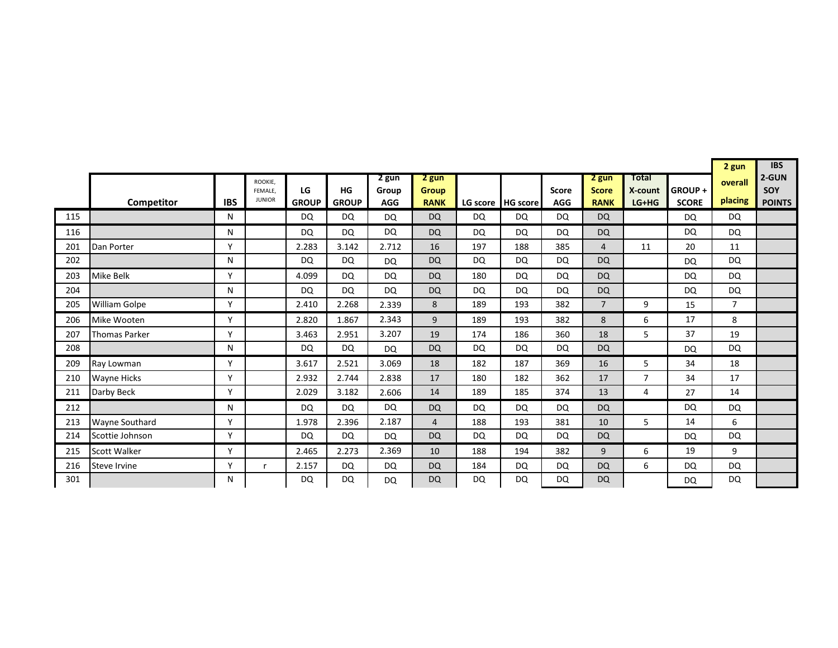|     |                       |              |                    |              |              |                |                       |           |                     |              |                       |                  |              | 2 gun          | <b>IBS</b>    |
|-----|-----------------------|--------------|--------------------|--------------|--------------|----------------|-----------------------|-----------|---------------------|--------------|-----------------------|------------------|--------------|----------------|---------------|
|     |                       |              | ROOKIE,<br>FEMALE. | LG           | HG           | 2 gun<br>Group | 2 gun<br><b>Group</b> |           |                     | <b>Score</b> | 2 gun<br><b>Score</b> | Total<br>X-count | GROUP+       | overall        | 2-GUN<br>SOY  |
|     | Competitor            | <b>IBS</b>   | <b>JUNIOR</b>      | <b>GROUP</b> | <b>GROUP</b> | <b>AGG</b>     | <b>RANK</b>           |           | LG score   HG score | <b>AGG</b>   | <b>RANK</b>           | $LG+HG$          | <b>SCORE</b> | placing        | <b>POINTS</b> |
| 115 |                       | N            |                    | <b>DQ</b>    | <b>DQ</b>    | <b>DQ</b>      | <b>DQ</b>             | <b>DQ</b> | DQ                  | DQ           | <b>DQ</b>             |                  | DQ           | <b>DQ</b>      |               |
| 116 |                       | N            |                    | DQ           | <b>DQ</b>    | <b>DQ</b>      | <b>DQ</b>             | <b>DQ</b> | DQ                  | DQ           | <b>DQ</b>             |                  | DQ           | <b>DQ</b>      |               |
| 201 | Dan Porter            | $\mathsf{v}$ |                    | 2.283        | 3.142        | 2.712          | 16                    | 197       | 188                 | 385          | $\overline{4}$        | 11               | 20           | 11             |               |
| 202 |                       | N            |                    | <b>DQ</b>    | <b>DQ</b>    | <b>DQ</b>      | <b>DQ</b>             | <b>DQ</b> | <b>DQ</b>           | DQ           | <b>DQ</b>             |                  | <b>DQ</b>    | DQ             |               |
| 203 | Mike Belk             | Y            |                    | 4.099        | <b>DQ</b>    | DQ             | <b>DQ</b>             | 180       | DQ                  | DQ           | <b>DQ</b>             |                  | DQ           | <b>DQ</b>      |               |
| 204 |                       | N            |                    | <b>DQ</b>    | <b>DQ</b>    | <b>DQ</b>      | <b>DQ</b>             | <b>DQ</b> | <b>DQ</b>           | DQ           | <b>DQ</b>             |                  | <b>DQ</b>    | DQ             |               |
| 205 | <b>William Golpe</b>  | Υ            |                    | 2.410        | 2.268        | 2.339          | 8                     | 189       | 193                 | 382          | $\overline{7}$        | 9                | 15           | $\overline{7}$ |               |
| 206 | Mike Wooten           | γ            |                    | 2.820        | 1.867        | 2.343          | 9                     | 189       | 193                 | 382          | 8                     | 6                | 17           | 8              |               |
| 207 | <b>Thomas Parker</b>  | Y            |                    | 3.463        | 2.951        | 3.207          | 19                    | 174       | 186                 | 360          | 18                    | 5                | 37           | 19             |               |
| 208 |                       | N            |                    | DQ           | <b>DQ</b>    | <b>DQ</b>      | <b>DQ</b>             | <b>DQ</b> | <b>DQ</b>           | DQ           | <b>DQ</b>             |                  | <b>DQ</b>    | DQ             |               |
| 209 | Ray Lowman            | Y            |                    | 3.617        | 2.521        | 3.069          | 18                    | 182       | 187                 | 369          | 16                    | 5                | 34           | 18             |               |
| 210 | <b>Wayne Hicks</b>    | γ            |                    | 2.932        | 2.744        | 2.838          | 17                    | 180       | 182                 | 362          | 17                    | $\overline{7}$   | 34           | 17             |               |
| 211 | Darby Beck            | Y            |                    | 2.029        | 3.182        | 2.606          | 14                    | 189       | 185                 | 374          | 13                    | 4                | 27           | 14             |               |
| 212 |                       | N            |                    | <b>DQ</b>    | <b>DQ</b>    | <b>DQ</b>      | <b>DQ</b>             | DQ        | <b>DQ</b>           | DQ           | <b>DQ</b>             |                  | <b>DQ</b>    | <b>DQ</b>      |               |
| 213 | <b>Wayne Southard</b> | γ            |                    | 1.978        | 2.396        | 2.187          | $\overline{4}$        | 188       | 193                 | 381          | 10                    | 5                | 14           | 6              |               |
| 214 | Scottie Johnson       | Υ            |                    | <b>DQ</b>    | <b>DQ</b>    | <b>DQ</b>      | <b>DQ</b>             | <b>DQ</b> | <b>DQ</b>           | DQ           | <b>DQ</b>             |                  | <b>DQ</b>    | DQ             |               |
| 215 | <b>Scott Walker</b>   | Y            |                    | 2.465        | 2.273        | 2.369          | 10                    | 188       | 194                 | 382          | 9                     | 6                | 19           | 9              |               |
| 216 | <b>Steve Irvine</b>   | Y            | r                  | 2.157        | <b>DQ</b>    | <b>DQ</b>      | <b>DQ</b>             | 184       | DQ                  | DQ           | <b>DQ</b>             | 6                | <b>DQ</b>    | <b>DQ</b>      |               |
| 301 |                       | N            |                    | <b>DQ</b>    | DQ           | <b>DQ</b>      | <b>DQ</b>             | <b>DQ</b> | <b>DQ</b>           | DQ           | <b>DQ</b>             |                  | DQ           | DQ             |               |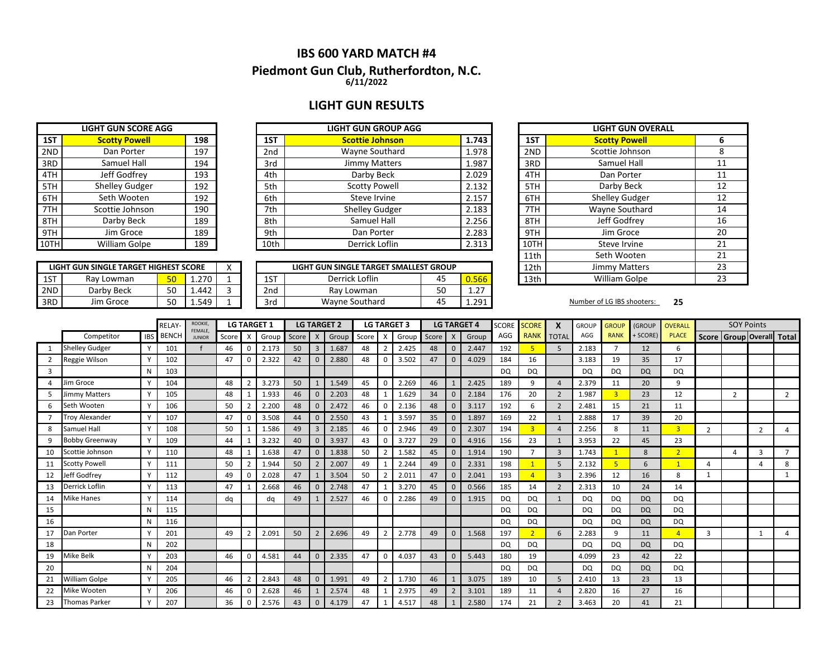## **IBS 600 YARD MATCH #4 6/11/2022 Piedmont Gun Club, Rutherfordton, N.C.**

## **LIGHT GUN RESULTS**

|      | <b>LIGHT GUN SCORE AGG</b> |     |                 | <b>LIGHT GUN GROUP AGG</b> |       |
|------|----------------------------|-----|-----------------|----------------------------|-------|
| 1ST  | <b>Scotty Powell</b>       | 198 | 1ST             | <b>Scottie Johnson</b>     | 1.743 |
| 2ND  | Dan Porter                 | 197 | 2 <sub>nd</sub> | Wayne Southard             | 1.978 |
| 3RD  | Samuel Hall                | 194 | 3rd             | <b>Jimmy Matters</b>       | 1.987 |
| 4TH  | Jeff Godfrey               | 193 | 4th             | Darby Beck                 | 2.029 |
| 5TH  | Shelley Gudger             | 192 | 5th             | <b>Scotty Powell</b>       | 2.132 |
| 6TH  | Seth Wooten                | 192 | 6th             | Steve Irvine               | 2.157 |
| 7TH  | Scottie Johnson            | 190 | 7th             | <b>Shelley Gudger</b>      | 2.183 |
| 8TH  | Darby Beck                 | 189 | 8th             | Samuel Hall                | 2.256 |
| 9TH  | Jim Groce                  | 189 | 9th             | Dan Porter                 | 2.283 |
| 10TH | William Golpe              | 189 | 10th            | Derrick Loflin             | 2.313 |

| 1ST  | <b>Scotty Powell</b> | 198 | 1ST  | <b>Scottie Johnson</b> | 1.743 | 1ST  | <b>Scotty Pow</b>           |
|------|----------------------|-----|------|------------------------|-------|------|-----------------------------|
| 2ND  | Dan Porter           | 197 | 2nd  | Wayne Southard         | 1.978 | 2ND  | Scottie Johns               |
| 3RD  | Samuel Hall          | 194 | 3rd  | Jimmy Matters          | 1.987 | 3RD  | Samuel Ha                   |
| 4TH  | Jeff Godfrey         | 193 | 4th  | Darby Beck             | 2.029 | 4TH  | Dan Porte                   |
| 5TH  | Shelley Gudger       | 192 | 5th  | <b>Scotty Powell</b>   | 2.132 | 5TH  | Darby Bec                   |
| 6TH  | Seth Wooten          | 192 | 6th  | Steve Irvine           | 2.157 | 6TH  | Shelley Gud                 |
| 7TH  | Scottie Johnson      | 190 | 7th  | <b>Shelley Gudger</b>  | 2.183 | 7TH  | Wayne South                 |
| 8TH  | Darby Beck           | 189 | 8th  | Samuel Hall            | 2.256 | 8TH  | Jeff Godfre                 |
| 9TH  | Jim Groce            | 189 | 9th  | Dan Porter             | 2.283 | 9TH  | Jim Groce                   |
| 10TH | William Golpe        | 189 | 10th | Derrick Loflin         | 2.313 | 10TH | Steve Irvin                 |
|      |                      |     |      |                        |       | .    | $\sim$ $\sim$ $\sim$ $\sim$ |

|     | LIGHT GUN SINGLE TARGET HIGHEST SCORE |           |       |                 | LIGHT GUN SINGLE TARGET SMALLEST GROUP |           |                     | 12th | Jimmy Matters              |    |
|-----|---------------------------------------|-----------|-------|-----------------|----------------------------------------|-----------|---------------------|------|----------------------------|----|
| 1ST | Rav Lowman                            | <b>EN</b> | 1.270 | 1ST             | Derrick Loflin                         | 45        | 0.566               | 13th | <b>William Golpe</b>       |    |
| 2ND | Darby Beck                            | ⊏∩<br>JU  | 1.442 | 2 <sub>nd</sub> | Rav Lowman                             | cη<br>יטכ | ר ר<br>. . <u>.</u> |      |                            |    |
| 3RD | Jim Groce                             | EΩ        | 1.549 | 3rd             | Wavne Southard                         | 4         | 1.291               |      | Number of LG IBS shooters: | 25 |
|     |                                       |           |       |                 |                                        |           |                     |      |                            |    |

|      | <b>LIGHT GUN OVERALL</b> |    |
|------|--------------------------|----|
| 1ST  | <b>Scotty Powell</b>     | 6  |
| 2ND  | Scottie Johnson          | 8  |
| 3RD  | Samuel Hall              | 11 |
| 4TH  | Dan Porter               | 11 |
| 5TH  | Darby Beck               | 12 |
| 6TH  | <b>Shelley Gudger</b>    | 12 |
| 7TH  | Wayne Southard           | 14 |
| 8TH  | Jeff Godfrey             | 16 |
| 9TH  | Jim Groce                | 20 |
| 10TH | Steve Irvine             | 21 |
| 11th | Seth Wooten              | 21 |
| 12th | <b>Jimmy Matters</b>     | 23 |
| 13th | William Golpe            | 23 |

|    |                       |            | RELAY-       | ROOKIE,<br>FEMALE, |       | <b>LG TARGET 1</b>        |       |       |                | <b>LG TARGET 2</b> |       |          | <b>LG TARGET 3</b> |       |              | <b>LG TARGET 4</b> | SCORE     | <b>SCORE</b>            | X              | <b>GROUP</b> | <b>GROUP</b>   | (GROUP    | <b>OVERALL</b> |                         | <b>SOY Points</b> |                           |                |
|----|-----------------------|------------|--------------|--------------------|-------|---------------------------|-------|-------|----------------|--------------------|-------|----------|--------------------|-------|--------------|--------------------|-----------|-------------------------|----------------|--------------|----------------|-----------|----------------|-------------------------|-------------------|---------------------------|----------------|
|    | Competitor            | <b>IBS</b> | <b>BENCH</b> | <b>JUNIOR</b>      | Score | $\boldsymbol{\mathsf{X}}$ | Group | Score | $\mathsf{X}$   | Group              | Score | X        | Group              | Score | $\mathsf{X}$ | Group              | AGG       | <b>RANK</b>             | <b>TOTA</b>    | AGG          | <b>RANK</b>    | + SCORE)  | <b>PLACE</b>   |                         |                   | Score Group Overall Total |                |
|    | <b>Shelley Gudger</b> |            | 101          |                    | 46    | 0                         | 2.173 | 50    | $\overline{3}$ | 1.687              | 48    |          | 2.425              | 48    |              | 2.447              | 192       | 5                       | 5              | 2.183        | $\overline{ }$ | 12        | 6              |                         |                   |                           |                |
|    | Reggie Wilson         |            | 102          |                    | 47    | 0                         | 2.322 | 42    | $\mathbf 0$    | 2.880              | 48    |          | 3.502              | 47    |              | 4.029              | 184       | 16                      |                | 3.183        | 19             | 35        | 17             |                         |                   |                           |                |
| 3  |                       | N          | 103          |                    |       |                           |       |       |                |                    |       |          |                    |       |              |                    | <b>DQ</b> | DQ                      |                | DQ           | <b>DQ</b>      | <b>DQ</b> | DQ             |                         |                   |                           |                |
|    | Jim Groce             |            | 104          |                    | 48    |                           | 3.273 | 50    |                | 1.549              | 45    | 0        | 2.269              | 46    |              | 2.425              | 189       | 9                       | $\overline{a}$ | 2.379        | 11             | 20        | 9              |                         |                   |                           |                |
|    | Jimmy Matters         |            | 105          |                    | 48    |                           | 1.933 | 46    | $\Omega$       | 2.203              | 48    |          | 1.629              | 34    |              | 2.184              | 176       | 20                      | $\overline{2}$ | 1.987        | 3              | 23        | 12             |                         | $\overline{2}$    |                           | $\overline{2}$ |
|    | Seth Wooten           |            | 106          |                    | 50    |                           | 2.200 | 48    | $\mathbf{0}$   | 2.472              | 46    | $\Omega$ | 2.136              | 48    |              | 3.117              | 192       | 6                       | 2              | 2.481        | 15             | 21        | 11             |                         |                   |                           |                |
|    | Troy Alexander        |            | 107          |                    | 47    | $\mathbf 0$               | 3.508 | 44    | $\mathbf{0}$   | 2.550              | 43    |          | 3.597              | 35    | $\sqrt{ }$   | 1.897              | 169       | 22                      | $\mathbf{1}$   | 2.888        | 17             | 39        | 20             |                         |                   |                           |                |
| 8  | Samuel Hall           |            | 108          |                    | 50    |                           | 1.586 | 49    | $\overline{3}$ | 2.185              | 46    |          | 2.946              | 49    |              | 2.307              | 194       | $\overline{\mathbf{3}}$ | $\overline{4}$ | 2.256        | 8              | 11        | 3 <sup>1</sup> | $\overline{\mathbf{c}}$ |                   | $\overline{2}$            | 4              |
|    | <b>Bobby Greenway</b> |            | 109          |                    | 44    |                           | 3.232 | 40    | $\mathbf{0}$   | 3.937              | 43    | $\Omega$ | 3.727              | 29    |              | 4.916              | 156       | 23                      |                | 3.953        | 22             | 45        | 23             |                         |                   |                           |                |
| 10 | Scottie Johnson       |            | 110          |                    | 48    |                           | 1.638 | 47    | $\mathbf{0}$   | 1.838              | 50    |          | 1.582              | 45    |              | 1.914              | 190       |                         | $\overline{3}$ | 1.743        |                | 8         | $\overline{ }$ |                         | 4                 | 3                         |                |
| 11 | <b>Scotty Powell</b>  |            | 111          |                    | 50    |                           | 1.944 | 50    | $\overline{2}$ | 2.007              | 49    |          | 2.244              | 49    |              | 2.331              | 198       |                         | 5              | 2.132        |                | 6         |                | 4                       |                   |                           | 8              |
| 12 | Jeff Godfrey          |            | 112          |                    | 49    | $\Omega$                  | 2.028 | 47    |                | 3.504              | 50    |          | 2.011              | 47    |              | 2.041              | 193       |                         | $\overline{3}$ | 2.396        | 12             | 16        | 8              | -1                      |                   |                           |                |
| 13 | Derrick Loflin        |            | 113          |                    | 47    |                           | 2.668 | 46    | $\mathbf{0}$   | 2.748              | 47    |          | 3.270              | 45    | $\Omega$     | 0.566              | 185       | 14                      | $\overline{2}$ | 2.313        | 10             | 24        | 14             |                         |                   |                           |                |
| 14 | <b>Mike Hanes</b>     |            | 114          |                    | da    |                           | dq    | 49    |                | 2.527              | 46    |          | 2.286              | 49    |              | 1.915              | <b>DQ</b> | <b>DQ</b>               | $\mathbf{1}$   | DQ           | <b>DQ</b>      | <b>DQ</b> | <b>DQ</b>      |                         |                   |                           |                |
| 15 |                       | N          | 115          |                    |       |                           |       |       |                |                    |       |          |                    |       |              |                    | <b>DQ</b> | DQ                      |                | DQ           | DQ             | <b>DQ</b> | <b>DQ</b>      |                         |                   |                           |                |
| 16 |                       | N          | 116          |                    |       |                           |       |       |                |                    |       |          |                    |       |              |                    | <b>DQ</b> | DQ                      |                | DQ           | DQ             | <b>DQ</b> | <b>DQ</b>      |                         |                   |                           |                |
| 17 | Dan Porter            |            | 201          |                    | 49    |                           | 2.091 | 50    | $\overline{2}$ | 2.696              | 49    |          | 2.778              | 49    |              | 1.568              | 197       | $\overline{2}$          | 6              | 2.283        | q              | 11        | $\overline{a}$ | 3                       |                   |                           |                |
| 18 |                       | N          | 202          |                    |       |                           |       |       |                |                    |       |          |                    |       |              |                    | <b>DQ</b> | <b>DQ</b>               |                | DQ           | <b>DQ</b>      | <b>DQ</b> | <b>DQ</b>      |                         |                   |                           |                |
| 19 | Mike Belk             |            | 203          |                    | 46    | $\mathbf{0}$              | 4.581 | 44    | $\mathbf{0}$   | 2.335              | 47    | $\Omega$ | 4.037              | 43    |              | 5.443              | 180       | 19                      |                | 4.099        | 23             | 42        | 22             |                         |                   |                           |                |
| 20 |                       | N          | 204          |                    |       |                           |       |       |                |                    |       |          |                    |       |              |                    | <b>DQ</b> | DQ                      |                | DQ           | DQ             | <b>DQ</b> | <b>DQ</b>      |                         |                   |                           |                |
| 21 | William Golpe         |            | 205          |                    | 46    |                           | 2.843 | 48    | $\Omega$       | 1.991              | 49    |          | 1.730              | 46    |              | 3.075              | 189       | 10                      | 5              | 2.410        | 13             | 23        | 13             |                         |                   |                           |                |
| 22 | Mike Wooten           |            | 206          |                    | 46    | $\mathbf 0$               | 2.628 | 46    |                | 2.574              | 48    |          | 2.975              | 49    |              | 3.101              | 189       | 11                      | $\overline{a}$ | 2.820        | 16             | 27        | 16             |                         |                   |                           |                |
| 23 | <b>Thomas Parker</b>  |            | 207          |                    | 36    | $\Omega$                  | 2.576 | 43    | $\Omega$       | 4.179              | 47    |          | 4.517              | 48    |              | 2.580              | 174       | 21                      | $\mathcal{P}$  | 3.463        | 20             | 41        | 21             |                         |                   |                           |                |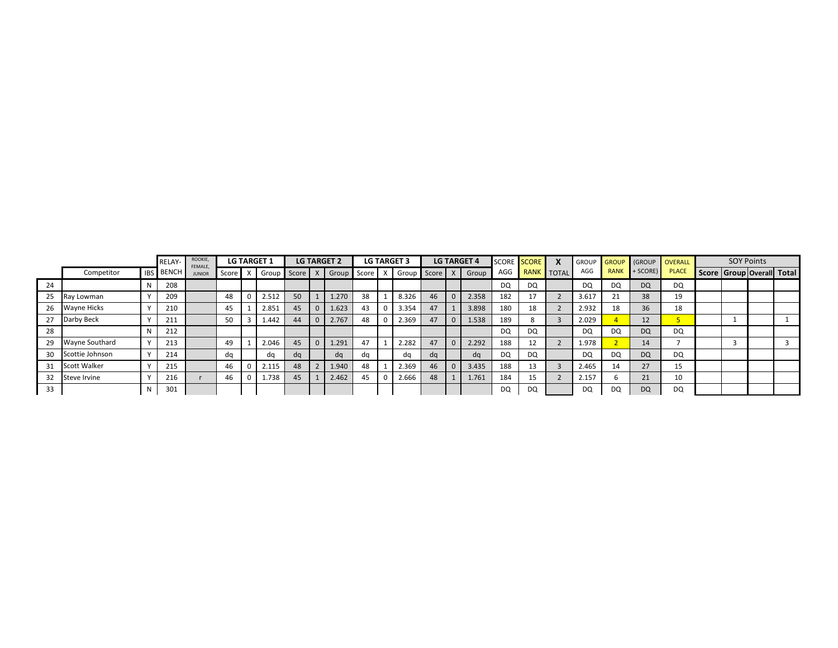|    |                       |            | <b>RELAY-</b> | ROOKIE,<br>FEMALE. |         | <b>LG TARGET 1</b> |         | <b>LG TARGET 2</b> |       | <b>LG TARGET 3</b> |    | <b>LG TARGET 4</b> | <b>SCORE</b> | <b>SCORE</b> | X          | <b>GROUP</b> | <b>GROUP</b> | GROUP     | <b>OVERALL</b> |  | <b>SOY Points</b> |                                 |
|----|-----------------------|------------|---------------|--------------------|---------|--------------------|---------|--------------------|-------|--------------------|----|--------------------|--------------|--------------|------------|--------------|--------------|-----------|----------------|--|-------------------|---------------------------------|
|    | Competitor            | <b>IBS</b> | <b>BENCH</b>  | <b>JUNIOR</b>      | Score P | Group              | Score X | Group              | Score | X Group Score X    |    | Group              | AGG          |              | RANK TOTAL | AGG          | <b>RANK</b>  | + SCORE)  | <b>PLACE</b>   |  |                   | Score   Group   Overall   Total |
| 24 |                       |            | 208           |                    |         |                    |         |                    |       |                    |    |                    | DQ           | <b>DQ</b>    |            | DQ           | DQ           | <b>DQ</b> | <b>DQ</b>      |  |                   |                                 |
| 25 | Ray Lowman            |            | 209           |                    | 48      | 2.512              | 50      | 1.270              | 38    | 8.326              | 46 | 2.358              | 182          |              |            | 3.617        |              | 38        | 19             |  |                   |                                 |
| 26 | <b>Wayne Hicks</b>    |            | 210           |                    | 45      | 2.851              | 45      | 1.623              | 43    | 3.354              | 47 | 3.898              | 180          | 18           |            | 2.932        | 18           | 36        | 18             |  |                   |                                 |
| 27 | Darby Beck            |            | 211           |                    | 50      | 1.442              | 44      | 2.767              | 48    | 2.369              | 47 | 1.538              | 189          |              |            | 2.029        |              | 12        |                |  |                   |                                 |
| 28 |                       |            | 212           |                    |         |                    |         |                    |       |                    |    |                    | DQ           | <b>DQ</b>    |            | <b>DQ</b>    | DQ           | <b>DQ</b> | <b>DQ</b>      |  |                   |                                 |
| 29 | <b>Wayne Southard</b> |            | 213           |                    | 49      | 2.046              | 45      | 1.291              | 47    | 2.282              | 47 | 2.292              | 188          | 12           |            | 1.978        |              | 14        |                |  |                   |                                 |
| 30 | Scottie Johnson       |            | 214           |                    | da      | da                 | da      | da                 | da    | da                 | da | dq                 | DQ           | <b>DQ</b>    |            | <b>DQ</b>    | DQ           | <b>DQ</b> | <b>DQ</b>      |  |                   |                                 |
| 31 | <b>Scott Walker</b>   |            | 215           |                    | 46      | 2.115              | 48      | 1.940              | 48    | 2.369              | 46 | 3.435              | 188          | 13           |            | 2.465        | 14           | 27        | 15             |  |                   |                                 |
| 32 | Steve Irvine          |            | 216           |                    | 46      | 1.738              | 45      | 2.462              | 45    | 2.666              | 48 | 1.761              | 184          | 15           |            | 2.157        |              | 21        | 10             |  |                   |                                 |
| 33 |                       |            | 301           |                    |         |                    |         |                    |       |                    |    |                    | DQ           | DQ           |            | <b>DQ</b>    | DQ           | <b>DQ</b> | DQ             |  |                   |                                 |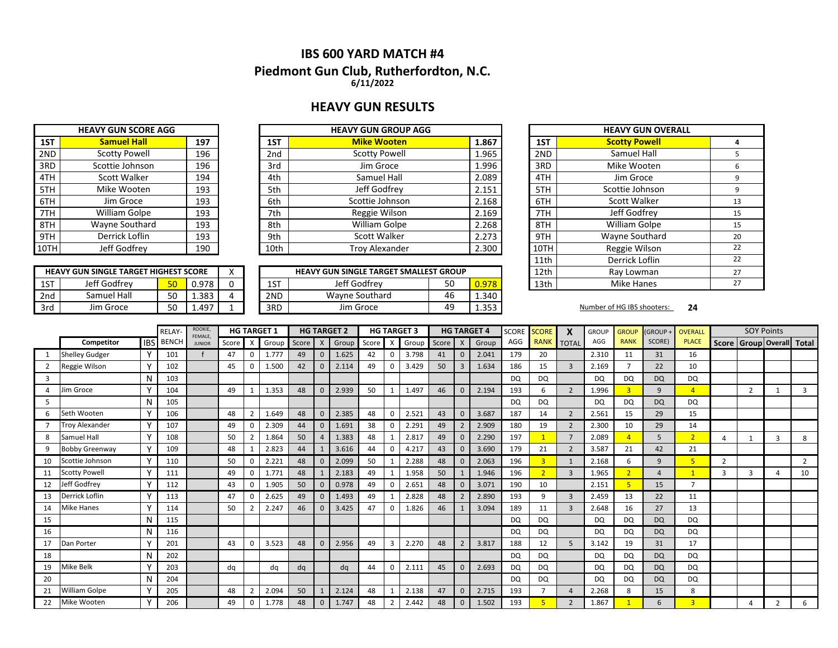## **IBS 600 YARD MATCH #4**

### **Piedmont Gun Club, Rutherfordton, N.C. 6/11/2022**

## **HEAVY GUN RESULTS**

| <b>HEAVY GUN SCORE AGG</b> |                      |     |  |  |  |  |  |  |  |
|----------------------------|----------------------|-----|--|--|--|--|--|--|--|
| 1ST                        | <b>Samuel Hall</b>   | 197 |  |  |  |  |  |  |  |
| 2ND                        | <b>Scotty Powell</b> | 196 |  |  |  |  |  |  |  |
| 3RD                        | Scottie Johnson      | 196 |  |  |  |  |  |  |  |
| 4TH                        | <b>Scott Walker</b>  | 194 |  |  |  |  |  |  |  |
| 5TH                        | Mike Wooten          | 193 |  |  |  |  |  |  |  |
| 6TH                        | Jim Groce            | 193 |  |  |  |  |  |  |  |
| 7TH                        | William Golpe        | 193 |  |  |  |  |  |  |  |
| 8TH                        | Wayne Southard       | 193 |  |  |  |  |  |  |  |
| 9TH                        | Derrick Loflin       | 193 |  |  |  |  |  |  |  |
| 10TH                       | Jeff Godfrey         | 190 |  |  |  |  |  |  |  |

**HEAVY GUN SINGLE TARGET HIGHEST SCORE**

|       | <b>HEAVY GUN GROUP AGG</b> |      |     | <b>HEAVY GUN SCORE AGG</b> |      |
|-------|----------------------------|------|-----|----------------------------|------|
| 1.867 | <b>Mike Wooten</b>         | 1ST  | 197 | <b>Samuel Hall</b>         | 1ST  |
| 1.965 | <b>Scotty Powell</b>       | 2nd  | 196 | <b>Scotty Powell</b>       | 2ND  |
| 1.996 | Jim Groce                  | 3rd  | 196 | Scottie Johnson            | 3RD  |
| 2.089 | Samuel Hall                | 4th  | 194 | Scott Walker               | 4TH  |
| 2.151 | Jeff Godfrey               | 5th  | 193 | Mike Wooten                | 5TH  |
| 2.168 | Scottie Johnson            | 6th  | 193 | Jim Groce                  | 6TH  |
| 2.169 | Reggie Wilson              | 7th  | 193 | William Golpe              | 7TH  |
| 2.268 | William Golpe              | 8th  | 193 | Wayne Southard             | 8TH  |
| 2.273 | Scott Walker               | 9th  | 193 | Derrick Loflin             | 9TH  |
| 2.300 | <b>Troy Alexander</b>      | 10th | 190 | Jeff Godfrey               | 10TH |

|     | <b>HEAVY GUN SINGLE TARGET HIGHEST SCORE</b> |           |       |  |     | <b>HEAVY GUN SINGLE TARGET SMALLEST GROUP</b> |    |              | 12th | Ray Lowman                 |    |
|-----|----------------------------------------------|-----------|-------|--|-----|-----------------------------------------------|----|--------------|------|----------------------------|----|
| 1ST | Jeff Godfrev                                 | 50        | 0.978 |  | 1ST | Jeff Godfrev                                  | 50 | 0.978        | 13th | Mike Hanes                 |    |
| 2nd | Samuel Hall                                  | r o<br>JU | 1.383 |  | 2ND | Wayne Southard                                | 46 | 1.340        |      |                            |    |
| 3rd | Jim Groce                                    | r o<br>JU | .497  |  | 3RD | Jim Groce                                     | 49 | 252<br>⊥.JJJ |      | Number of HG IBS shooters: | 24 |

| <b>IEAVY GUN GROUP AGG</b>     |  |       |            | <b>HEAVY GUN OVERALL</b> |    |
|--------------------------------|--|-------|------------|--------------------------|----|
| <b>Mike Wooten</b>             |  | 1.867 | 1ST        | <b>Scotty Powell</b>     | 4  |
| <b>Scotty Powell</b>           |  | 1.965 | 2ND        | Samuel Hall              | 5  |
| Jim Groce                      |  | 1.996 | 3RD        | Mike Wooten              | 6  |
| Samuel Hall                    |  | 2.089 | 4TH        | Jim Groce                | 9  |
| Jeff Godfrey                   |  | 2.151 | 5TH        | Scottie Johnson          | 9  |
| Scottie Johnson                |  | 2.168 | 6TH        | Scott Walker             | 13 |
| Reggie Wilson                  |  | 2.169 | 7TH        | Jeff Godfrey             | 15 |
| William Golpe                  |  | 2.268 | 8TH        | William Golpe            | 15 |
| Scott Walker                   |  | 2.273 | 9TH        | Wayne Southard           | 20 |
| <b>Troy Alexander</b>          |  | 2.300 | 10TH       | Reggie Wilson            | 22 |
|                                |  |       | 11th       | Derrick Loflin           | 22 |
| N SINGLE TARGET SMALLEST GROUP |  | 12th  | Ray Lowman | 27                       |    |
| Jeff Godfrev<br>50             |  | 0.978 | 13th       | Mike Hanes               | 27 |

|                |                       |              | <b>RELAY</b> | ROOKIE,<br>FEMALE |       |              | <b>HG TARGET 1</b> |           |                | <b>HG TARGET 2</b> |       |                | <b>HG TARGET 3</b> |       |               | <b>HG TARGET 4</b> | <b>SCORE</b> | <b>SCORE</b>   | X              | <b>GROUP</b> | <b>GROUP</b>   | <b>GROUP+</b>  | <b>OVERALL</b> |   | <b>SOY Points</b>               |                |                |
|----------------|-----------------------|--------------|--------------|-------------------|-------|--------------|--------------------|-----------|----------------|--------------------|-------|----------------|--------------------|-------|---------------|--------------------|--------------|----------------|----------------|--------------|----------------|----------------|----------------|---|---------------------------------|----------------|----------------|
|                | Competitor            | <b>IBS</b>   | <b>BENCH</b> | <b>JUNIOR</b>     | Score | $\mathsf{x}$ | Group              | Score   X |                | Group              | Score | X              | Group              | Score | $\mathsf{X}$  | Group              | AGG          | <b>RANK</b>    | <b>TOTAL</b>   | AGG          | <b>RANK</b>    | SCORE)         | <b>PLACE</b>   |   | Score   Group   Overall   Total |                |                |
|                | <b>Shelley Gudger</b> | $\mathsf{v}$ | 101          |                   | 47    | 0            | 1.777              | 49        | $\mathbf{0}$   | 1.625              | 42    | 0              | 3.798              | 41    | $\Omega$      | 2.041              | 179          | 20             |                | 2.310        | 11             | 31             | 16             |   |                                 |                |                |
|                | Reggie Wilson         |              | 102          |                   | 45    |              | 1.500              | 42        | $\mathbf{0}$   | 2.114              | 49    | $\Omega$       | 3.429              | 50    | $\mathbf{3}$  | 1.634              | 186          | 15             | $\overline{3}$ | 2.169        |                | 22             | 10             |   |                                 |                |                |
| 3              |                       | N            | 103          |                   |       |              |                    |           |                |                    |       |                |                    |       |               |                    | <b>DQ</b>    | DQ             |                | <b>DQ</b>    | <b>DQ</b>      | <b>DQ</b>      | DQ             |   |                                 |                |                |
| $\overline{4}$ | lim Groce             |              | 104          |                   | 49    |              | 1.353              | 48        | $\mathbf 0$    | 2.939              | 50    |                | 1.497              | 46    |               | 2.194              | 193          | 6              | 2              | 1.996        | 3              | 9              | $\overline{4}$ |   | $\overline{2}$                  |                | 3              |
| 5              |                       | N            | 105          |                   |       |              |                    |           |                |                    |       |                |                    |       |               |                    | <b>DQ</b>    | <b>DQ</b>      |                | <b>DQ</b>    | DQ             | <b>DQ</b>      | DQ             |   |                                 |                |                |
| 6              | Seth Wooten           |              | 106          |                   | 48    |              | 1.649              | 48        | $\mathbf 0$    | 2.385              | 48    | 0              | 2.521              | 43    | $\Omega$      | 3.687              | 187          | 14             | $\overline{2}$ | 2.561        | 15             | 29             | 15             |   |                                 |                |                |
|                | <b>Troy Alexander</b> | v            | 107          |                   | 49    | 0            | 2.309              | 44        | $\mathbf 0$    | 1.691              | 38    | 0              | 2.291              | 49    |               | 2.909              | 180          | 19             | $\overline{2}$ | 2.300        | 10             | 29             | 14             |   |                                 |                |                |
| 8              | Samuel Hall           | Y            | 108          |                   | 50    |              | .864               | 50        | $\overline{4}$ | 1.383              | 48    |                | 2.817              | 49    | $\Omega$      | 2.290              | 197          |                | $\overline{7}$ | 2.089        |                | 5              | $\overline{2}$ |   |                                 | 3              | 8              |
| q              | <b>Bobby Greenway</b> | v            | 109          |                   | 48    |              | 2.823              | 44        |                | 3.616              | 44    | $\mathbf 0$    | 4.217              | 43    | $\Omega$      | 3.690              | 179          | 21             | $\overline{2}$ | 3.587        | 21             | 42             | 21             |   |                                 |                |                |
| 10             | Scottie Johnson       |              | 110          |                   | 50    |              | 2.221              | 48        | $\mathbf 0$    | 2.099              | 50    |                | 2.288              | 48    | $\Omega$      | 2.063              | 196          |                | $\mathbf{1}$   | 2.168        | 6              | 9              | 5              | 2 |                                 |                | $\overline{2}$ |
| 11             | <b>Scotty Powell</b>  | $\checkmark$ | 111          |                   | 49    |              | 1.771              | 48        |                | 2.183              | 49    |                | 1.958              | 50    |               | 1.946              | 196          | $\overline{2}$ | $\overline{3}$ | 1.965        | $\overline{2}$ | $\overline{a}$ | $\overline{1}$ | 3 | $\overline{3}$                  |                | 10             |
| 12             | leff Godfrey          |              | 112          |                   | 43    |              | L.905              | 50        | $\Omega$       | 0.978              | 49    | $\Omega$       | 2.651              | 48    |               | 3.071              | 190          | 10             |                | 2.151        | 5              | 15             | $\overline{ }$ |   |                                 |                |                |
| 13             | Derrick Loflin        | N            | 113          |                   | 47    |              | 2.625              | 49        | $\mathbf 0$    | 1.493              | 49    |                | 2.828              | 48    |               | 2.890              | 193          | 9              | $\overline{3}$ | 2.459        | 13             | 22             | 11             |   |                                 |                |                |
| 14             | <b>Mike Hanes</b>     |              | 114          |                   | 50    |              | 2.247              | 46        | $\mathbf{0}$   | 3.425              | 47    | $\Omega$       | 1.826              | 46    |               | 3.094              | 189          | 11             | $\overline{3}$ | 2.648        | 16             | 27             | 13             |   |                                 |                |                |
| 15             |                       | N            | 115          |                   |       |              |                    |           |                |                    |       |                |                    |       |               |                    | <b>DQ</b>    | <b>DQ</b>      |                | <b>DQ</b>    | DQ.            | <b>DQ</b>      | DQ             |   |                                 |                |                |
| 16             |                       | N            | 116          |                   |       |              |                    |           |                |                    |       |                |                    |       |               |                    | <b>DQ</b>    | DQ             |                | DQ           | DQ.            | <b>DQ</b>      | DQ             |   |                                 |                |                |
| 17             | Dan Porter            |              | 201          |                   | 43    |              | 3.523              | 48        | $\mathbf{0}$   | 2.956              | 49    | $\overline{3}$ | 2.270              | 48    | $\mathcal{P}$ | 3.817              | 188          | 12             | 5              | 3.142        | 19             | 31             | 17             |   |                                 |                |                |
| 18             |                       | N            | 202          |                   |       |              |                    |           |                |                    |       |                |                    |       |               |                    | <b>DQ</b>    | <b>DQ</b>      |                | <b>DQ</b>    | <b>DQ</b>      | <b>DQ</b>      | <b>DQ</b>      |   |                                 |                |                |
| 19             | Mike Belk             |              | 203          |                   | dq    |              | dq                 | dq        |                | dq                 | 44    | $\mathbf 0$    | 2.111              | 45    | $\Omega$      | 2.693              | <b>DQ</b>    | DQ             |                | <b>DQ</b>    | <b>DQ</b>      | <b>DQ</b>      | DQ             |   |                                 |                |                |
| 20             |                       | N            | 204          |                   |       |              |                    |           |                |                    |       |                |                    |       |               |                    | <b>DQ</b>    | <b>DQ</b>      |                | <b>DQ</b>    | DQ             | <b>DQ</b>      | DQ             |   |                                 |                |                |
| 21             | William Golpe         |              | 205          |                   | 48    |              | 2.094              | 50        |                | 2.124              | 48    |                | 2.138              | 47    | $\Omega$      | 2.715              | 193          |                | $\overline{4}$ | 2.268        | 8              | 15             | 8              |   |                                 |                |                |
| 22             | Mike Wooten           | $\mathbf v$  | 206          |                   | 49    |              | 778                | 48        | $\mathbf{0}$   | 1.747              | 48    |                | 2.442              | 48    | $\mathbf{0}$  | 1.502              | 193          |                | $\overline{2}$ | 1.867        |                | 6              | $\overline{R}$ |   |                                 | $\overline{2}$ | 6              |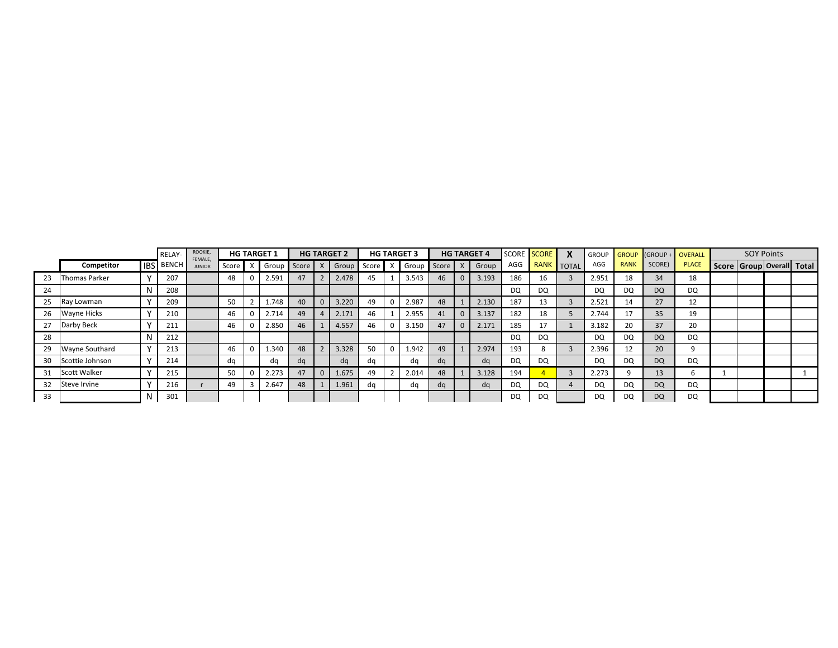|    |                     | RELAY-           | ROOKIE,<br>FEMALE, |       | <b>HG TARGET 1</b> |    |          | <b>HG TARGET 2</b> |       | <b>HG TARGET 3</b> |    | <b>HG TARGET 4</b> |           | SCORE SCORE | X          | <b>GROUP</b> | <b>GROUP</b> | $IGROUP + OVERALL$ |              |  | <b>SOY Points</b>         |  |
|----|---------------------|------------------|--------------------|-------|--------------------|----|----------|--------------------|-------|--------------------|----|--------------------|-----------|-------------|------------|--------------|--------------|--------------------|--------------|--|---------------------------|--|
|    | Competitor          | <b>IBS</b> BENCH | <b>JUNIOR</b>      | Score | X Group Score      |    |          | Group              | Score | X Group Score      |    | Group              | AGG       |             | RANK TOTAL | AGG          | <b>RANK</b>  | SCORE)             | <b>PLACE</b> |  | Score Group Overall Total |  |
| 23 | Thomas Parker       | 207              |                    | 48    | 2.591              | 47 |          | 2.478              | 45    | 3.543              | 46 | 3.193              | 186       | 16          |            | 2.951        | 18           | 34                 | 18           |  |                           |  |
| 24 |                     | 208              |                    |       |                    |    |          |                    |       |                    |    |                    | <b>DQ</b> | <b>DQ</b>   |            | <b>DQ</b>    | DQ           | <b>DQ</b>          | <b>DQ</b>    |  |                           |  |
| 25 | Ray Lowman          | 209              |                    | 50    | 1.748              | 40 | $\Omega$ | 3.220              | 49    | 2.987              | 48 | 2.130              | 187       | 13          |            | 2.521        | 14           | 27                 | 12           |  |                           |  |
| 26 | <b>Wayne Hicks</b>  | 210              |                    | 46    | 2.714              | 49 |          | 2.171              | 46    | 2.955              | 41 | 3.137              | 182       | 18          |            | 2.744        |              | 35                 | 19           |  |                           |  |
| 27 | Darby Beck          | 211              |                    | 46    | 2.850              | 46 |          | 4.557              | 46    | 3.150              | 47 | 2.171              | 185       |             |            | 3.182        | 20           | 37                 | 20           |  |                           |  |
| 28 |                     | 212              |                    |       |                    |    |          |                    |       |                    |    |                    | <b>DQ</b> | DQ          |            | <b>DQ</b>    | DQ           | <b>DQ</b>          | DQ           |  |                           |  |
| 29 | Wayne Southard      | 213              |                    | 46    | 1.340              | 48 |          | 3.328              | 50    | 1.942              | 49 | 2.974              | 193       |             |            | 2.396        | 12           | 20                 |              |  |                           |  |
| 30 | Scottie Johnson     | 214              |                    | da    | dq                 | dq |          | dq                 | dq    | dq                 | da | da                 | <b>DQ</b> | DQ          |            | <b>DQ</b>    | DQ           | <b>DQ</b>          | <b>DQ</b>    |  |                           |  |
| 31 | <b>Scott Walker</b> | 215              |                    | 50    | 2.273              | 47 | $\Omega$ | 1.675              | 49    | 2.014              | 48 | 3.128              | 194       |             |            | 2.273        |              | 13                 |              |  |                           |  |
| 32 | Steve Irvine        | 216              |                    | 49    | 2.647              | 48 |          | 1.961              | da    | dq                 | dq | dq                 | <b>DQ</b> | DQ          |            | <b>DQ</b>    | DQ           | <b>DQ</b>          | <b>DQ</b>    |  |                           |  |
| 33 |                     | 301              |                    |       |                    |    |          |                    |       |                    |    |                    | DQ        | DQ          |            | DQ           | DQ           | <b>DQ</b>          | DQ           |  |                           |  |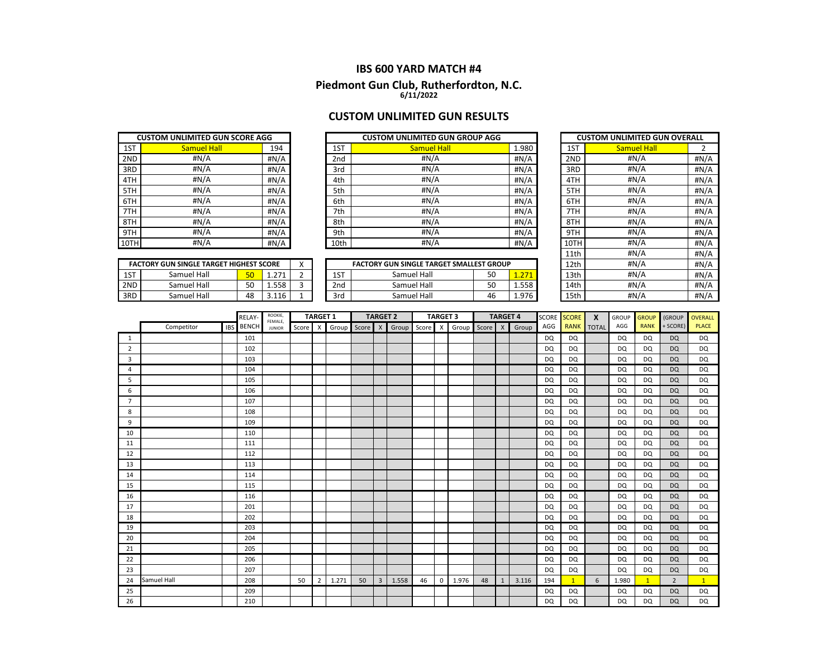# **IBS 600 YARD MATCH #4 Piedmont Gun Club, Rutherfordton, N.C. 6/11/2022**

## **CUSTOM UNLIMITED GUN RESULTS**

|      | <b>CUSTOM UNLIMITED GUN SCORE AGG</b> |      |
|------|---------------------------------------|------|
| 1ST  | <b>Samuel Hall</b>                    | 194  |
| 2ND  | #N/A                                  | #N/A |
| 3RD  | #N/A                                  | #N/A |
| 4TH  | #N/A                                  | #N/A |
| 5TH  | #N/A                                  | #N/A |
| 6TH  | #N/A                                  | #N/A |
| 7TH  | #N/A                                  | #N/A |
| 8TH  | #N/A                                  | #N/A |
| 9TH  | #N/A                                  | #N/A |
| 10TI | #N/A                                  | #N/A |

|     | <b>FACTORY GUN SINGLE TARGET HIGHEST SCORE</b><br>Samuel Hall<br>1 2 7 1<br>Samuel Hall<br>1.558<br>50 |    |         |  |  |  |  |  |  |  |
|-----|--------------------------------------------------------------------------------------------------------|----|---------|--|--|--|--|--|--|--|
| 1ST |                                                                                                        |    |         |  |  |  |  |  |  |  |
| 2ND |                                                                                                        |    |         |  |  |  |  |  |  |  |
| 3RD | Samuel Hall                                                                                            | 48 | 3 1 1 6 |  |  |  |  |  |  |  |

|      | <b>CUSTOM UNLIMITED GUN SCORE AGG</b> |         |      | <b>CUSTOM UNLIMITED GUN GROUP AGG</b> |       |      | <b>CUSTOM UNLIMITED GUN OVERALL</b> |      |
|------|---------------------------------------|---------|------|---------------------------------------|-------|------|-------------------------------------|------|
| 1ST  | <b>Samuel Hall</b>                    | 194     | 1ST  | <b>Samuel Hall</b>                    | 1.980 | 1ST  | <b>Samuel Hall</b>                  |      |
| 2ND  | #N/A                                  | #N/A    | 2nd  | #N/A                                  | #N/A  | 2ND  | #N/A                                | #N/A |
| 3RD  | #N/A                                  | # $N/A$ | 3rd  | #N/A                                  | #N/A  | 3RD  | #N/A                                | #N/A |
| 4TH  | #N/A                                  | #N/A    | 4th  | #N/A                                  | #N/A  | 4TH  | #N/A                                | #N/A |
| 5TH  | #N/A                                  | #N/A    | 5th  | #N/A                                  | #N/A  | 5TH  | #N/A                                | #N/A |
| 6TH  | #N/A                                  | #N/A    | 6th  | #N/A                                  | #N/A  | 6TH  | #N/A                                | #N/A |
| 7TH  | #N/A                                  | #N/A    | 7th  | #N/A                                  | #N/A  | 7TH  | #N/A                                | #N/A |
| 8TH  | #N/A                                  | #N/A    | 8th  | #N/A                                  | #N/A  | 8TH  | #N/A                                | #N/A |
| 9TH  | #N/A                                  | #N/A    | 9th  | #N/A                                  | H N/A | 9TH  | #N/A                                | #N/A |
| 10TH | #N/A                                  | #N/A    | 10th | #N/A                                  | #N/A  | 10TH | #N/A                                | #N/A |

|     | <b>FACTORY GUN SINGLE TARGET HIGHEST SCORE</b> |                 |                          |  |              | <b>FACTORY GUN SINGLE TARGET SMALLEST GROUP</b> |          |                    | 12th | #N/A | #N/A         |
|-----|------------------------------------------------|-----------------|--------------------------|--|--------------|-------------------------------------------------|----------|--------------------|------|------|--------------|
| 1ST | Samuel Hall                                    | 50 <sup>°</sup> | 271                      |  | $\sim$<br>∸∸ | Samuel Hall                                     | r c<br>◡ | 55<br>. <i>.</i> . | 13th | #N/A | #N/A         |
| 2ND | Samuel Hall                                    | 50              | 1.558                    |  | 2nd          | Samuel Hall                                     | r o<br>◡ | 1.558              | 14th | #N/A | #N/A         |
| 3RD | Samuel Hall                                    | 48              | $\sim$<br>$\overline{1}$ |  | 3rd          | Samuel Hall                                     | 4t       | 1.976              | 15th | #N/A | #N/ $\angle$ |

|      | <b>CUSTOM UNLIMITED GUN OVERALL</b> |      |
|------|-------------------------------------|------|
| 1ST  | <b>Samuel Hall</b>                  | 2    |
| 2ND  | #N/A                                | #N/A |
| 3RD  | #N/A                                | #N/A |
| 4TH  | #N/A                                | #N/A |
| 5TH  | #N/A                                | #N/A |
| 6TH  | #N/A                                | #N/A |
| 7TH  | #N/A                                | #N/A |
| 8TH  | #N/A                                | #N/A |
| 9TH  | #N/A                                | #N/A |
| 10TH | #N/A                                | #N/A |
| 11th | #N/A                                | #N/A |
| 12th | #N/A                                | #N/A |
| 13th | #N/A                                | #N/A |
| 14th | #N/A                                | #N/A |
| 15th | #N/A                                | #N/A |

|                |                    |            | RELAY-       | ROOKIE,                  |       | <b>TARGET 1</b> |       |       | <b>TARGET 2</b> |       |       | <b>TARGET 3</b> |       |       | <b>TARGET 4</b> |       | SCORE     | <b>SCORE</b> | X            | <b>GROUP</b> | <b>GROUP</b> | (GROUP         | <b>OVERALL</b> |
|----------------|--------------------|------------|--------------|--------------------------|-------|-----------------|-------|-------|-----------------|-------|-------|-----------------|-------|-------|-----------------|-------|-----------|--------------|--------------|--------------|--------------|----------------|----------------|
|                | Competitor         | <b>IBS</b> | <b>BENCH</b> | FEMALE,<br><b>JUNIOR</b> | Score | X               | Group | Score | $\mathsf{X}$    | Group | Score | X               | Group | Score | $\mathsf{X}$    | Group | AGG       | <b>RANK</b>  | <b>TOTAL</b> | AGG          | <b>RANK</b>  | + SCORE)       | <b>PLACE</b>   |
| 1              |                    |            | 101          |                          |       |                 |       |       |                 |       |       |                 |       |       |                 |       | <b>DQ</b> | <b>DQ</b>    |              | <b>DQ</b>    | DQ           | <b>DQ</b>      | <b>DQ</b>      |
| $\overline{2}$ |                    |            | 102          |                          |       |                 |       |       |                 |       |       |                 |       |       |                 |       | DQ        | <b>DQ</b>    |              | <b>DQ</b>    | DQ           | <b>DQ</b>      | <b>DQ</b>      |
| 3              |                    |            | 103          |                          |       |                 |       |       |                 |       |       |                 |       |       |                 |       | <b>DQ</b> | <b>DQ</b>    |              | <b>DQ</b>    | DQ           | <b>DQ</b>      | DQ             |
| 4              |                    |            | 104          |                          |       |                 |       |       |                 |       |       |                 |       |       |                 |       | <b>DQ</b> | <b>DQ</b>    |              | <b>DQ</b>    | DQ           | <b>DQ</b>      | <b>DQ</b>      |
| 5              |                    |            | 105          |                          |       |                 |       |       |                 |       |       |                 |       |       |                 |       | <b>DQ</b> | <b>DQ</b>    |              | <b>DQ</b>    | DQ           | <b>DQ</b>      | <b>DQ</b>      |
| 6              |                    |            | 106          |                          |       |                 |       |       |                 |       |       |                 |       |       |                 |       | <b>DQ</b> | <b>DQ</b>    |              | <b>DQ</b>    | DQ           | <b>DQ</b>      | <b>DQ</b>      |
| $\overline{7}$ |                    |            | 107          |                          |       |                 |       |       |                 |       |       |                 |       |       |                 |       | DQ        | <b>DQ</b>    |              | <b>DQ</b>    | DQ           | <b>DQ</b>      | <b>DQ</b>      |
| 8              |                    |            | 108          |                          |       |                 |       |       |                 |       |       |                 |       |       |                 |       | <b>DQ</b> | <b>DQ</b>    |              | <b>DQ</b>    | DQ           | <b>DQ</b>      | <b>DQ</b>      |
| 9              |                    |            | 109          |                          |       |                 |       |       |                 |       |       |                 |       |       |                 |       | <b>DQ</b> | <b>DQ</b>    |              | <b>DQ</b>    | DQ           | <b>DQ</b>      | <b>DQ</b>      |
| 10             |                    |            | 110          |                          |       |                 |       |       |                 |       |       |                 |       |       |                 |       | DQ        | <b>DQ</b>    |              | <b>DQ</b>    | DQ           | <b>DQ</b>      | <b>DQ</b>      |
| 11             |                    |            | 111          |                          |       |                 |       |       |                 |       |       |                 |       |       |                 |       | <b>DQ</b> | <b>DQ</b>    |              | DQ           | DQ           | <b>DQ</b>      | <b>DQ</b>      |
| 12             |                    |            | 112          |                          |       |                 |       |       |                 |       |       |                 |       |       |                 |       | <b>DQ</b> | DQ           |              | <b>DQ</b>    | DQ           | DQ             | <b>DQ</b>      |
| 13             |                    |            | 113          |                          |       |                 |       |       |                 |       |       |                 |       |       |                 |       | <b>DQ</b> | <b>DQ</b>    |              | <b>DQ</b>    | DQ           | <b>DQ</b>      | <b>DQ</b>      |
| 14             |                    |            | 114          |                          |       |                 |       |       |                 |       |       |                 |       |       |                 |       | <b>DQ</b> | <b>DQ</b>    |              | DQ           | DQ           | <b>DQ</b>      | DQ             |
| 15             |                    |            | 115          |                          |       |                 |       |       |                 |       |       |                 |       |       |                 |       | <b>DQ</b> | DQ           |              | <b>DQ</b>    | DQ           | <b>DQ</b>      | <b>DQ</b>      |
| 16             |                    |            | 116          |                          |       |                 |       |       |                 |       |       |                 |       |       |                 |       | <b>DQ</b> | <b>DQ</b>    |              | <b>DQ</b>    | DQ           | <b>DQ</b>      | <b>DQ</b>      |
| 17             |                    |            | 201          |                          |       |                 |       |       |                 |       |       |                 |       |       |                 |       | <b>DQ</b> | <b>DQ</b>    |              | <b>DQ</b>    | DQ           | <b>DQ</b>      | <b>DQ</b>      |
| 18             |                    |            | 202          |                          |       |                 |       |       |                 |       |       |                 |       |       |                 |       | <b>DQ</b> | <b>DQ</b>    |              | <b>DQ</b>    | DQ           | <b>DQ</b>      | <b>DQ</b>      |
| 19             |                    |            | 203          |                          |       |                 |       |       |                 |       |       |                 |       |       |                 |       | <b>DQ</b> | <b>DQ</b>    |              | <b>DQ</b>    | DQ           | <b>DQ</b>      | <b>DQ</b>      |
| 20             |                    |            | 204          |                          |       |                 |       |       |                 |       |       |                 |       |       |                 |       | <b>DQ</b> | <b>DQ</b>    |              | <b>DQ</b>    | DQ           | <b>DQ</b>      | <b>DQ</b>      |
| 21             |                    |            | 205          |                          |       |                 |       |       |                 |       |       |                 |       |       |                 |       | <b>DQ</b> | <b>DQ</b>    |              | <b>DQ</b>    | DQ           | <b>DQ</b>      | <b>DQ</b>      |
| 22             |                    |            | 206          |                          |       |                 |       |       |                 |       |       |                 |       |       |                 |       | <b>DQ</b> | <b>DQ</b>    |              | <b>DQ</b>    | DQ           | <b>DQ</b>      | <b>DQ</b>      |
| 23             |                    |            | 207          |                          |       |                 |       |       |                 |       |       |                 |       |       |                 |       | <b>DQ</b> | <b>DQ</b>    |              | <b>DQ</b>    | DQ           | <b>DQ</b>      | DQ             |
| 24             | <b>Samuel Hall</b> |            | 208          |                          | 50    | $\overline{2}$  | 1.271 | 50    | $\overline{3}$  | 1.558 | 46    | $\mathbf{0}$    | 1.976 | 48    | 1               | 3.116 | 194       | $\mathbf{1}$ | 6            | 1.980        | 1            | $\overline{2}$ | $\mathbf{1}$   |
| 25             |                    |            | 209          |                          |       |                 |       |       |                 |       |       |                 |       |       |                 |       | <b>DQ</b> | <b>DQ</b>    |              | <b>DQ</b>    | DQ           | <b>DQ</b>      | <b>DQ</b>      |
| 26             |                    |            | 210          |                          |       |                 |       |       |                 |       |       |                 |       |       |                 |       | <b>DQ</b> | <b>DQ</b>    |              | <b>DQ</b>    | DQ           | <b>DQ</b>      | <b>DQ</b>      |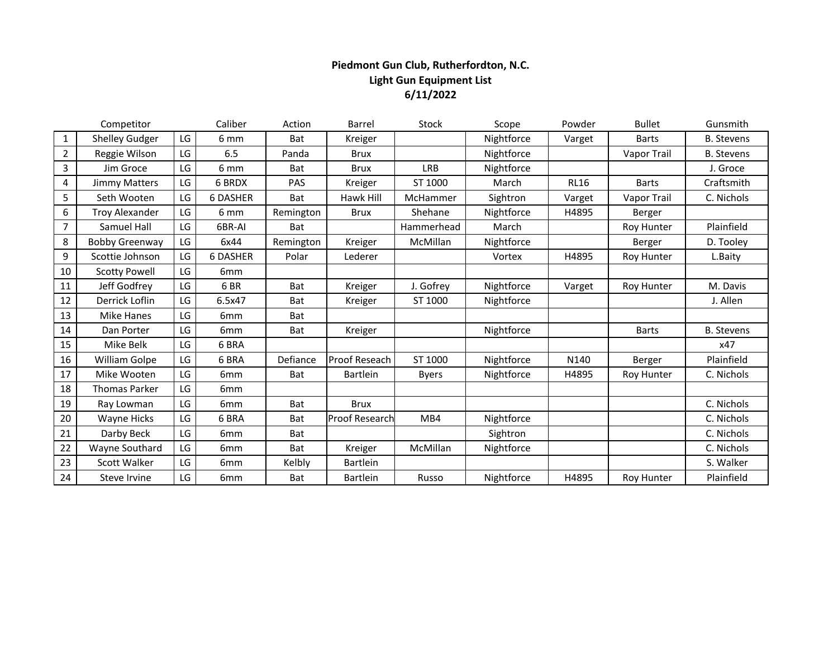## **Piedmont Gun Club, Rutherfordton, N.C. Light Gun Equipment List 6/11/2022**

|                | Competitor            |    | Caliber         | Action     | <b>Barrel</b>         | Stock        | Scope      | Powder           | <b>Bullet</b> | Gunsmith          |
|----------------|-----------------------|----|-----------------|------------|-----------------------|--------------|------------|------------------|---------------|-------------------|
| 1              | <b>Shelley Gudger</b> | LG | 6 <sub>mm</sub> | Bat        | Kreiger               |              | Nightforce | Varget           | <b>Barts</b>  | <b>B.</b> Stevens |
| $\overline{2}$ | Reggie Wilson         | LG | 6.5             | Panda      | <b>Brux</b>           |              | Nightforce |                  | Vapor Trail   | <b>B.</b> Stevens |
| 3              | Jim Groce             | LG | 6 <sub>mm</sub> | Bat        | <b>Brux</b>           | <b>LRB</b>   | Nightforce |                  |               | J. Groce          |
| 4              | <b>Jimmy Matters</b>  | LG | 6 BRDX          | <b>PAS</b> | Kreiger               | ST 1000      | March      | <b>RL16</b>      | <b>Barts</b>  | Craftsmith        |
| 5              | Seth Wooten           | LG | <b>6 DASHER</b> | Bat        | Hawk Hill             | McHammer     | Sightron   | Varget           | Vapor Trail   | C. Nichols        |
| 6              | <b>Troy Alexander</b> | LG | 6 mm            | Remington  | <b>Brux</b>           | Shehane      | Nightforce | H4895            | Berger        |                   |
| 7              | Samuel Hall           | LG | 6BR-AI          | Bat        |                       | Hammerhead   | March      |                  | Roy Hunter    | Plainfield        |
| 8              | <b>Bobby Greenway</b> | LG | 6x44            | Remington  | Kreiger               | McMillan     | Nightforce |                  | Berger        | D. Tooley         |
| 9              | Scottie Johnson       | LG | <b>6 DASHER</b> | Polar      | Lederer               |              | Vortex     | H4895            | Roy Hunter    | L.Baity           |
| 10             | <b>Scotty Powell</b>  | LG | 6 <sub>mm</sub> |            |                       |              |            |                  |               |                   |
| 11             | Jeff Godfrey          | LG | 6BR             | Bat        | Kreiger               | J. Gofrey    | Nightforce | Varget           | Roy Hunter    | M. Davis          |
| 12             | Derrick Loflin        | LG | 6.5x47          | Bat        | Kreiger               | ST 1000      | Nightforce |                  |               | J. Allen          |
| 13             | Mike Hanes            | LG | 6 <sub>mm</sub> | Bat        |                       |              |            |                  |               |                   |
| 14             | Dan Porter            | LG | 6 <sub>mm</sub> | Bat        | Kreiger               |              | Nightforce |                  | <b>Barts</b>  | <b>B.</b> Stevens |
| 15             | Mike Belk             | LG | 6 BRA           |            |                       |              |            |                  |               | x47               |
| 16             | William Golpe         | LG | 6 BRA           | Defiance   | Proof Reseach         | ST 1000      | Nightforce | N <sub>140</sub> | Berger        | Plainfield        |
| 17             | Mike Wooten           | LG | 6 <sub>mm</sub> | <b>Bat</b> | <b>Bartlein</b>       | <b>Byers</b> | Nightforce | H4895            | Roy Hunter    | C. Nichols        |
| 18             | <b>Thomas Parker</b>  | LG | 6 <sub>mm</sub> |            |                       |              |            |                  |               |                   |
| 19             | Ray Lowman            | LG | 6 <sub>mm</sub> | <b>Bat</b> | <b>Brux</b>           |              |            |                  |               | C. Nichols        |
| 20             | Wayne Hicks           | LG | 6 BRA           | <b>Bat</b> | <b>Proof Research</b> | MB4          | Nightforce |                  |               | C. Nichols        |
| 21             | Darby Beck            | LG | 6mm             | <b>Bat</b> |                       |              | Sightron   |                  |               | C. Nichols        |
| 22             | Wayne Southard        | LG | 6mm             | <b>Bat</b> | Kreiger               | McMillan     | Nightforce |                  |               | C. Nichols        |
| 23             | <b>Scott Walker</b>   | LG | 6 <sub>mm</sub> | Kelbly     | <b>Bartlein</b>       |              |            |                  |               | S. Walker         |
| 24             | Steve Irvine          | LG | 6 <sub>mm</sub> | <b>Bat</b> | <b>Bartlein</b>       | Russo        | Nightforce | H4895            | Roy Hunter    | Plainfield        |